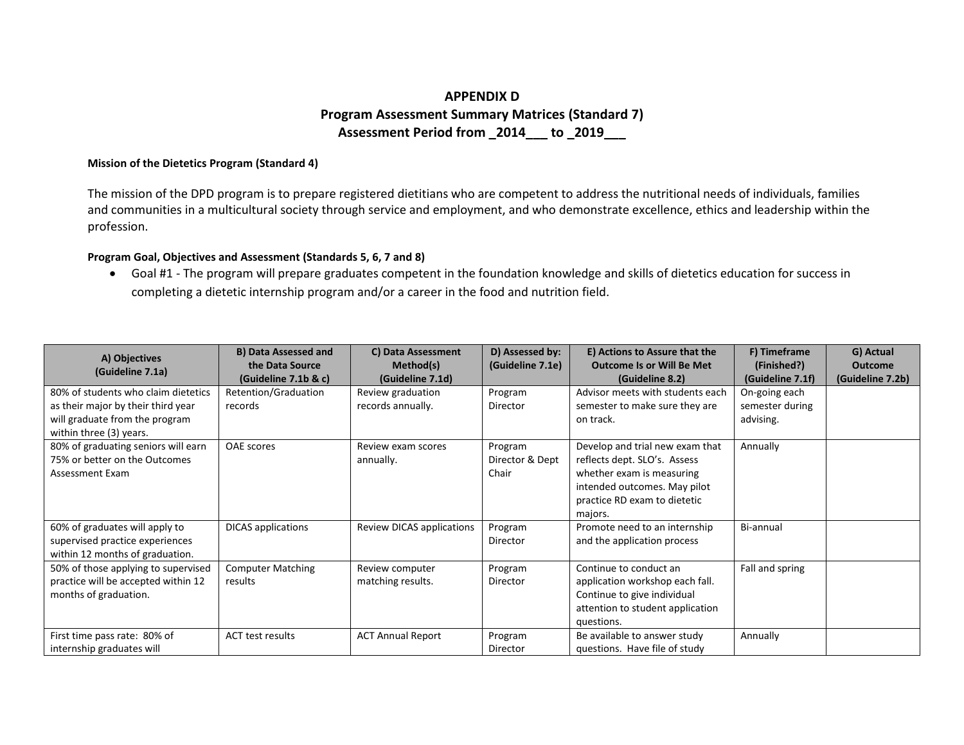## **APPENDIX D Program Assessment Summary Matrices (Standard 7) Assessment Period from \_2014\_\_\_ to \_2019\_\_\_**

## **Mission of the Dietetics Program (Standard 4)**

The mission of the DPD program is to prepare registered dietitians who are competent to address the nutritional needs of individuals, families and communities in a multicultural society through service and employment, and who demonstrate excellence, ethics and leadership within the profession.

## **Program Goal, Objectives and Assessment (Standards 5, 6, 7 and 8)**

• Goal #1 - The program will prepare graduates competent in the foundation knowledge and skills of dietetics education for success in completing a dietetic internship program and/or a career in the food and nutrition field.

| A) Objectives<br>(Guideline 7.1a)                                                                                                      | <b>B) Data Assessed and</b><br>the Data Source<br>(Guideline 7.1b & c) | C) Data Assessment<br>Method(s)<br>(Guideline 7.1d) | D) Assessed by:<br>(Guideline 7.1e) | E) Actions to Assure that the<br><b>Outcome Is or Will Be Met</b><br>(Guideline 8.2)                                                                                    | F) Timeframe<br>(Finished?)<br>(Guideline 7.1f) | G) Actual<br><b>Outcome</b><br>(Guideline 7.2b) |
|----------------------------------------------------------------------------------------------------------------------------------------|------------------------------------------------------------------------|-----------------------------------------------------|-------------------------------------|-------------------------------------------------------------------------------------------------------------------------------------------------------------------------|-------------------------------------------------|-------------------------------------------------|
| 80% of students who claim dietetics<br>as their major by their third year<br>will graduate from the program<br>within three (3) years. | Retention/Graduation<br>records                                        | Review graduation<br>records annually.              | Program<br>Director                 | Advisor meets with students each<br>semester to make sure they are<br>on track.                                                                                         | On-going each<br>semester during<br>advising.   |                                                 |
| 80% of graduating seniors will earn<br>75% or better on the Outcomes<br>Assessment Exam                                                | <b>OAE</b> scores                                                      | Review exam scores<br>annually.                     | Program<br>Director & Dept<br>Chair | Develop and trial new exam that<br>reflects dept. SLO's. Assess<br>whether exam is measuring<br>intended outcomes. May pilot<br>practice RD exam to dietetic<br>majors. | Annually                                        |                                                 |
| 60% of graduates will apply to<br>supervised practice experiences<br>within 12 months of graduation.                                   | <b>DICAS</b> applications                                              | <b>Review DICAS applications</b>                    | Program<br>Director                 | Promote need to an internship<br>and the application process                                                                                                            | Bi-annual                                       |                                                 |
| 50% of those applying to supervised<br>practice will be accepted within 12<br>months of graduation.                                    | <b>Computer Matching</b><br>results                                    | Review computer<br>matching results.                | Program<br>Director                 | Continue to conduct an<br>application workshop each fall.<br>Continue to give individual<br>attention to student application<br>questions.                              | Fall and spring                                 |                                                 |
| First time pass rate: 80% of<br>internship graduates will                                                                              | ACT test results                                                       | <b>ACT Annual Report</b>                            | Program<br>Director                 | Be available to answer study<br>questions. Have file of study                                                                                                           | Annually                                        |                                                 |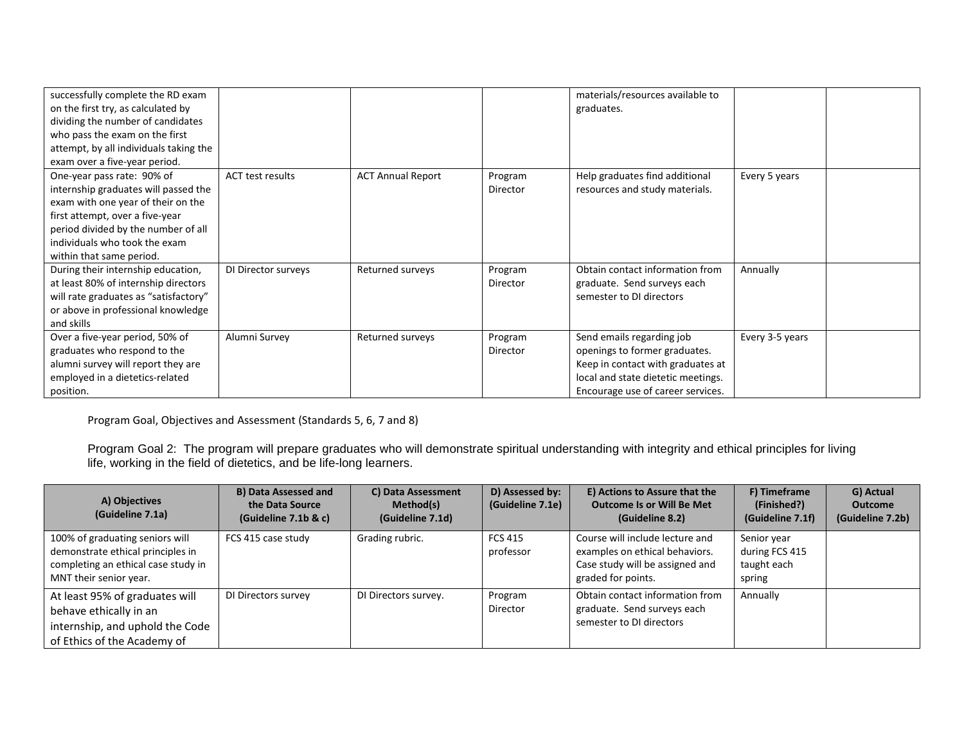| successfully complete the RD exam<br>on the first try, as calculated by |                     |                          |          | materials/resources available to<br>graduates. |                 |  |
|-------------------------------------------------------------------------|---------------------|--------------------------|----------|------------------------------------------------|-----------------|--|
| dividing the number of candidates                                       |                     |                          |          |                                                |                 |  |
| who pass the exam on the first                                          |                     |                          |          |                                                |                 |  |
| attempt, by all individuals taking the                                  |                     |                          |          |                                                |                 |  |
| exam over a five-year period.                                           |                     |                          |          |                                                |                 |  |
| One-year pass rate: 90% of                                              | ACT test results    | <b>ACT Annual Report</b> | Program  | Help graduates find additional                 | Every 5 years   |  |
| internship graduates will passed the                                    |                     |                          | Director | resources and study materials.                 |                 |  |
| exam with one year of their on the                                      |                     |                          |          |                                                |                 |  |
| first attempt, over a five-year                                         |                     |                          |          |                                                |                 |  |
| period divided by the number of all                                     |                     |                          |          |                                                |                 |  |
| individuals who took the exam                                           |                     |                          |          |                                                |                 |  |
| within that same period.                                                |                     |                          |          |                                                |                 |  |
| During their internship education,                                      | DI Director surveys | Returned surveys         | Program  | Obtain contact information from                | Annually        |  |
| at least 80% of internship directors                                    |                     |                          | Director | graduate. Send surveys each                    |                 |  |
| will rate graduates as "satisfactory"                                   |                     |                          |          | semester to DI directors                       |                 |  |
| or above in professional knowledge                                      |                     |                          |          |                                                |                 |  |
| and skills                                                              |                     |                          |          |                                                |                 |  |
| Over a five-year period, 50% of                                         | Alumni Survey       | Returned surveys         | Program  | Send emails regarding job                      | Every 3-5 years |  |
| graduates who respond to the                                            |                     |                          | Director | openings to former graduates.                  |                 |  |
| alumni survey will report they are                                      |                     |                          |          | Keep in contact with graduates at              |                 |  |
| employed in a dietetics-related                                         |                     |                          |          | local and state dietetic meetings.             |                 |  |
| position.                                                               |                     |                          |          | Encourage use of career services.              |                 |  |

Program Goal, Objectives and Assessment (Standards 5, 6, 7 and 8)

Program Goal 2: The program will prepare graduates who will demonstrate spiritual understanding with integrity and ethical principles for living life, working in the field of dietetics, and be life-long learners.

| A) Objectives<br>(Guideline 7.1a)                                                                                                     | <b>B) Data Assessed and</b><br>the Data Source<br>(Guideline 7.1b & c) | C) Data Assessment<br>Method(s)<br>(Guideline 7.1d) | D) Assessed by:<br>(Guideline 7.1e) | E) Actions to Assure that the<br><b>Outcome Is or Will Be Met</b><br>(Guideline 8.2)                                       | F) Timeframe<br>(Finished?)<br>(Guideline 7.1f)        | G) Actual<br><b>Outcome</b><br>(Guideline 7.2b) |
|---------------------------------------------------------------------------------------------------------------------------------------|------------------------------------------------------------------------|-----------------------------------------------------|-------------------------------------|----------------------------------------------------------------------------------------------------------------------------|--------------------------------------------------------|-------------------------------------------------|
| 100% of graduating seniors will<br>demonstrate ethical principles in<br>completing an ethical case study in<br>MNT their senior year. | FCS 415 case study                                                     | Grading rubric.                                     | <b>FCS 415</b><br>professor         | Course will include lecture and<br>examples on ethical behaviors.<br>Case study will be assigned and<br>graded for points. | Senior year<br>during FCS 415<br>taught each<br>spring |                                                 |
| At least 95% of graduates will<br>behave ethically in an<br>internship, and uphold the Code<br>of Ethics of the Academy of            | DI Directors survey                                                    | DI Directors survey.                                | Program<br>Director                 | Obtain contact information from<br>graduate. Send surveys each<br>semester to DI directors                                 | Annually                                               |                                                 |